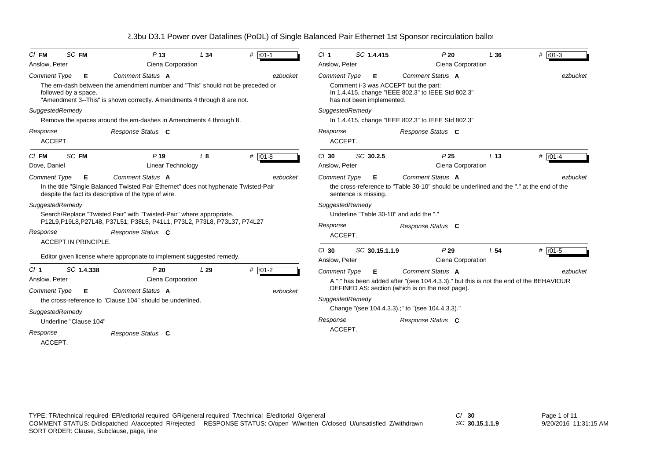| $CI$ FM             | SC FM                  | P <sub>13</sub>                                                                                                                                          | L34            | # $r01-1$   | CI <sub>1</sub><br>SC 1.4.415                      |  | P20                       | L36                                                                                        | # $ $ r01-3     |           |
|---------------------|------------------------|----------------------------------------------------------------------------------------------------------------------------------------------------------|----------------|-------------|----------------------------------------------------|--|---------------------------|--------------------------------------------------------------------------------------------|-----------------|-----------|
| Anslow, Peter       |                        | Ciena Corporation                                                                                                                                        |                |             | Anslow, Peter                                      |  |                           | Ciena Corporation                                                                          |                 |           |
| <b>Comment Type</b> | Е                      | Comment Status A                                                                                                                                         |                | ezbucket    | <b>Comment Type</b>                                |  | Е                         | Comment Status A                                                                           |                 | ezbucket  |
|                     | followed by a space.   | The em-dash between the amendment number and "This" should not be preceded or<br>"Amendment 3--This" is shown correctly. Amendments 4 through 8 are not. |                |             |                                                    |  | has not been implemented. | Comment i-3 was ACCEPT but the part:<br>In 1.4.415, change "IEEE 802.3" to IEEE Std 802.3" |                 |           |
| SuggestedRemedy     |                        |                                                                                                                                                          |                |             | SuggestedRemedy                                    |  |                           |                                                                                            |                 |           |
|                     |                        | Remove the spaces around the em-dashes in Amendments 4 through 8.                                                                                        |                |             | In 1.4.415, change "IEEE 802.3" to IEEE Std 802.3" |  |                           |                                                                                            |                 |           |
| Response<br>ACCEPT. |                        | Response Status C                                                                                                                                        |                |             | Response<br>ACCEPT.                                |  |                           | Response Status C                                                                          |                 |           |
| $C/I$ FM            | <b>SC FM</b>           | $P$ 19                                                                                                                                                   | L <sub>8</sub> | # $r01-8$   | $Cl$ 30                                            |  | SC 30.2.5                 | P <sub>25</sub>                                                                            | L <sub>13</sub> | # $r01-4$ |
| Dove, Daniel        |                        | Linear Technology                                                                                                                                        |                |             | Anslow, Peter                                      |  |                           | Ciena Corporation                                                                          |                 |           |
| <b>Comment Type</b> | Е                      | Comment Status A                                                                                                                                         |                | ezbucket    | <b>Comment Type</b>                                |  | Е                         | Comment Status A                                                                           |                 | ezbucket  |
|                     |                        | In the title "Single Balanced Twisted Pair Ethernet" does not hyphenate Twisted-Pair<br>despite the fact its descriptive of the type of wire.            |                |             |                                                    |  | sentence is missing.      | the cross-reference to "Table 30-10" should be underlined and the "." at the end of the    |                 |           |
| SuggestedRemedy     |                        |                                                                                                                                                          |                |             | SuggestedRemedy                                    |  |                           |                                                                                            |                 |           |
|                     |                        | Search/Replace "Twisted Pair" with "Twisted-Pair" where appropriate.                                                                                     |                |             |                                                    |  |                           | Underline "Table 30-10" and add the "."                                                    |                 |           |
|                     |                        | P12L9, P19L8, P27L48, P37L51, P38L5, P41L1, P73L2, P73L8, P73L37, P74L27                                                                                 |                |             | Response                                           |  |                           | Response Status C                                                                          |                 |           |
| Response            |                        | Response Status C                                                                                                                                        |                |             | ACCEPT.                                            |  |                           |                                                                                            |                 |           |
|                     | ACCEPT IN PRINCIPLE.   |                                                                                                                                                          |                |             | $Cl$ 30                                            |  | SC 30.15.1.1.9            | P29                                                                                        | L <sub>54</sub> | # $r01-5$ |
|                     |                        | Editor given license where appropriate to implement suggested remedy.                                                                                    |                |             | Anslow, Peter                                      |  |                           | Ciena Corporation                                                                          |                 |           |
| Cl <sub>1</sub>     | SC 1.4.338             | P20                                                                                                                                                      | L29            | $#$ $r01-2$ | <b>Comment Type</b>                                |  | Е                         | Comment Status A                                                                           |                 | ezbucket  |
| Anslow, Peter       |                        | Ciena Corporation                                                                                                                                        |                |             |                                                    |  |                           | A ";" has been added after "(see 104.4.3.3)." but this is not the end of the BEHAVIOUR     |                 |           |
| <b>Comment Type</b> | Е                      | Comment Status A                                                                                                                                         |                | ezbucket    |                                                    |  |                           | DEFINED AS: section (which is on the next page).                                           |                 |           |
|                     |                        | the cross-reference to "Clause 104" should be underlined.                                                                                                |                |             | SuggestedRemedy                                    |  |                           |                                                                                            |                 |           |
| SuggestedRemedy     |                        |                                                                                                                                                          |                |             |                                                    |  |                           | Change "(see 104.4.3.3).;" to "(see 104.4.3.3)."                                           |                 |           |
|                     | Underline "Clause 104" |                                                                                                                                                          |                |             | Response                                           |  |                           | Response Status C                                                                          |                 |           |
| Response            |                        | Response Status C                                                                                                                                        |                |             | ACCEPT.                                            |  |                           |                                                                                            |                 |           |
| ACCEPT.             |                        |                                                                                                                                                          |                |             |                                                    |  |                           |                                                                                            |                 |           |
|                     |                        |                                                                                                                                                          |                |             |                                                    |  |                           |                                                                                            |                 |           |

*SC* **30.15.1.1.9**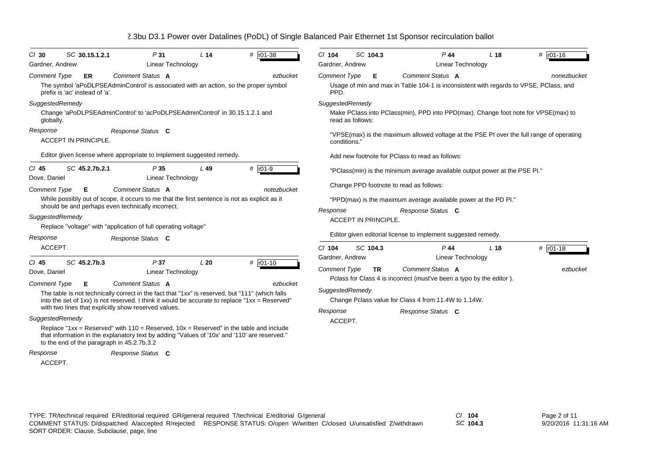|  | 2.3bu D3.1 Power over Datalines (PoDL) of Single Balanced Pair Ethernet 1st Sponsor recirculation ballot |  |
|--|----------------------------------------------------------------------------------------------------------|--|
|--|----------------------------------------------------------------------------------------------------------|--|

| $Cl$ 30<br>Gardner, Andrew<br>Comment Type<br>prefix is 'ac' instead of 'a'.<br>SuggestedRemedy | SC 30.15.1.2.1<br>ER<br>The symbol 'aPoDLPSEAdminControl' is associated with an action, so the proper symbol                                                                                                              | P31<br><b>Linear Technology</b><br>Comment Status A                                              | L <sub>14</sub> | # r01-38<br>ezbucket                                                                                                                                                                                                                                                                                                                                                                                        | $CI$ 104<br>Gardner, Andrew                                                                                                                                                                                                                                                                                                                                                                           | SC 104.3                    | $P$ 44<br>Linear Technology                                                                                                                                              | L <sub>18</sub> | # r01-16               |
|-------------------------------------------------------------------------------------------------|---------------------------------------------------------------------------------------------------------------------------------------------------------------------------------------------------------------------------|--------------------------------------------------------------------------------------------------|-----------------|-------------------------------------------------------------------------------------------------------------------------------------------------------------------------------------------------------------------------------------------------------------------------------------------------------------------------------------------------------------------------------------------------------------|-------------------------------------------------------------------------------------------------------------------------------------------------------------------------------------------------------------------------------------------------------------------------------------------------------------------------------------------------------------------------------------------------------|-----------------------------|--------------------------------------------------------------------------------------------------------------------------------------------------------------------------|-----------------|------------------------|
|                                                                                                 |                                                                                                                                                                                                                           |                                                                                                  |                 |                                                                                                                                                                                                                                                                                                                                                                                                             |                                                                                                                                                                                                                                                                                                                                                                                                       |                             |                                                                                                                                                                          |                 |                        |
| globally.<br>Response<br><b>ACCEPT IN PRINCIPLE.</b>                                            |                                                                                                                                                                                                                           | Change 'aPoDLPSEAdminControl' to 'acPoDLPSEAdminControl' in 30.15.1.2.1 and<br>Response Status C |                 |                                                                                                                                                                                                                                                                                                                                                                                                             | Comment Status A<br><b>Comment Type</b><br>Е<br>nonezbucket<br>Usage of min and max in Table 104-1 is inconsistent with regards to VPSE, PClass, and<br>PPD.<br>SuggestedRemedy<br>Make PClass into PClass(min), PPD into PPD(max). Change foot note for VPSE(max) to<br>read as follows:<br>"VPSE(max) is the maximum allowed voltage at the PSE PI over the full range of operating<br>conditions." |                             |                                                                                                                                                                          |                 |                        |
| $CI$ 45<br>Dove, Daniel                                                                         | Editor given license where appropriate to implement suggested remedy.<br>SC 45.2.7b.2.1                                                                                                                                   | P35<br>Linear Technology                                                                         | $L$ 49          | # $r01-9$                                                                                                                                                                                                                                                                                                                                                                                                   |                                                                                                                                                                                                                                                                                                                                                                                                       |                             | Add new footnote for PClass to read as follows:<br>"PClass(min) is the minimum average available output power at the PSE PI."<br>Change PPD footnote to read as follows: |                 |                        |
| <b>Comment Type</b><br>SuggestedRemedy<br>Response                                              | Е<br>While possibly out of scope, it occurs to me that the first sentence is not as explicit as it<br>should be and perhaps even technically incorrect.<br>Replace "voltage" with "application of full operating voltage" | Comment Status A<br>Response Status C                                                            |                 | notezbucket                                                                                                                                                                                                                                                                                                                                                                                                 | Response                                                                                                                                                                                                                                                                                                                                                                                              | <b>ACCEPT IN PRINCIPLE.</b> | "PPD(max) is the maximum average available power at the PD PI."<br>Response Status C<br>Editor given editorial license to implement suggested remedy.                    |                 |                        |
| ACCEPT.<br>$CI$ 45<br>Dove, Daniel                                                              | SC 45.2.7b.3                                                                                                                                                                                                              | P37<br><b>Linear Technology</b>                                                                  | L20             | $#$ $r01-10$                                                                                                                                                                                                                                                                                                                                                                                                | $Cl$ 104<br>Gardner, Andrew<br><b>Comment Type</b>                                                                                                                                                                                                                                                                                                                                                    | SC 104.3<br><b>TR</b>       | $P$ 44<br><b>Linear Technology</b><br>Comment Status A                                                                                                                   | L <sub>18</sub> | # $r01-18$<br>ezbucket |
| Comment Type<br>SuggestedRemedy<br>Response                                                     | E.<br>with two lines that explicitly show reserved values.<br>to the end of the paragraph in 45.2.7b.3.2                                                                                                                  | Comment Status A<br>Response Status C                                                            |                 | ezbucket<br>The table is not technically correct in the fact that "1xx" is reserved, but "111" (which falls<br>into the set of 1xx) is not reserved. I think it would be accurate to replace "1xx = Reserved"<br>Replace "1xx = Reserved" with $110$ = Reserved, $10x$ = Reserved" in the table and include<br>that information in the explanatory text by adding "Values of '10x' and '110' are reserved." | SuggestedRemedy<br>Response<br>ACCEPT.                                                                                                                                                                                                                                                                                                                                                                |                             | Polass for Class 4 is incorrect (must've been a typo by the editor).<br>Change Pclass value for Class 4 from 11.4W to 1.14W.<br>Response Status C                        |                 |                        |

ACCEPT.

TYPE: TR/technical required ER/editorial required GR/general required T/technical E/editorial G/general *Cl* **104** SORT ORDER: Clause, Subclause, page, line COMMENT STATUS: D/dispatched A/accepted R/rejected RESPONSE STATUS: O/open W/written C/closed U/unsatisfied Z/withdrawn

*SC* **104.3**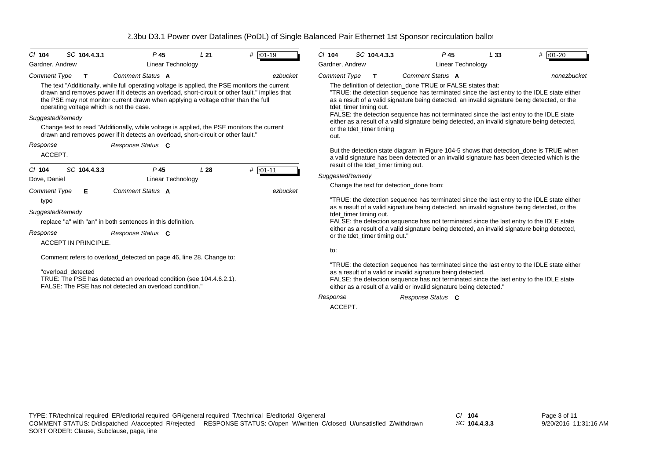| SC 104.4.3.1<br>$Cl$ 104<br>Gardner, Andrew                                                                                                                                                                                                                                                                                                                                                                                                                                                                                                                                              | P <sub>45</sub><br>Linear Technology                                                 | L <sub>21</sub> | # r01-19                 | $CI$ 104<br>Gardner, Andrew                                                                                                                                                                                                                                                                                                                                                                                                                                                                                                                                                                                                                                                                                                                                               | SC 104.4.3.3                                                           | $P$ 45<br>Linear Technology                                                                                                                                                                                                                                                                                                                                                                                                                                                                                                                                                                                                                                                                                                                                                           | L33 | # r01-20 |  |
|------------------------------------------------------------------------------------------------------------------------------------------------------------------------------------------------------------------------------------------------------------------------------------------------------------------------------------------------------------------------------------------------------------------------------------------------------------------------------------------------------------------------------------------------------------------------------------------|--------------------------------------------------------------------------------------|-----------------|--------------------------|---------------------------------------------------------------------------------------------------------------------------------------------------------------------------------------------------------------------------------------------------------------------------------------------------------------------------------------------------------------------------------------------------------------------------------------------------------------------------------------------------------------------------------------------------------------------------------------------------------------------------------------------------------------------------------------------------------------------------------------------------------------------------|------------------------------------------------------------------------|---------------------------------------------------------------------------------------------------------------------------------------------------------------------------------------------------------------------------------------------------------------------------------------------------------------------------------------------------------------------------------------------------------------------------------------------------------------------------------------------------------------------------------------------------------------------------------------------------------------------------------------------------------------------------------------------------------------------------------------------------------------------------------------|-----|----------|--|
| <b>Comment Type</b><br>T<br>The text "Additionally, while full operating voltage is applied, the PSE monitors the current<br>drawn and removes power if it detects an overload, short-circuit or other fault." implies that<br>the PSE may not monitor current drawn when applying a voltage other than the full<br>operating voltage which is not the case.<br>SuggestedRemedy<br>Change text to read "Additionally, while voltage is applied, the PSE monitors the current<br>drawn and removes power if it detects an overload, short-circuit or other fault."<br>Response<br>ACCEPT. | Comment Status A<br>Response Status C                                                |                 | ezbucket                 | <b>Comment Type</b><br>Comment Status A<br>nonezbucket<br>T<br>The definition of detection done TRUE or FALSE states that:<br>"TRUE: the detection sequence has terminated since the last entry to the IDLE state either<br>as a result of a valid signature being detected, an invalid signature being detected, or the<br>tdet_timer timing out.<br>FALSE: the detection sequence has not terminated since the last entry to the IDLE state<br>either as a result of a valid signature being detected, an invalid signature being detected,<br>or the tdet_timer timing<br>out.<br>But the detection state diagram in Figure 104-5 shows that detection_done is TRUE when<br>a valid signature has been detected or an invalid signature has been detected which is the |                                                                        |                                                                                                                                                                                                                                                                                                                                                                                                                                                                                                                                                                                                                                                                                                                                                                                       |     |          |  |
| SC 104.4.3.3<br>$CI$ 104<br>Dove, Daniel<br><b>Comment Type</b><br>Е<br>typo<br>SuggestedRemedy<br>replace "a" with "an" in both sentences in this definition.<br>Response<br><b>ACCEPT IN PRINCIPLE</b><br>Comment refers to overload_detected on page 46, line 28. Change to:<br>"overload detected<br>TRUE: The PSE has detected an overload condition (see 104.4.6.2.1).<br>FALSE: The PSE has not detected an overload condition."                                                                                                                                                  | P <sub>45</sub><br><b>Linear Technology</b><br>Comment Status A<br>Response Status C | L28             | $#$ $r01-11$<br>ezbucket | SuggestedRemedy<br>tdet timer timing out.<br>to:<br>Response<br>ACCEPT.                                                                                                                                                                                                                                                                                                                                                                                                                                                                                                                                                                                                                                                                                                   | result of the tdet timer timing out.<br>or the tdet_timer timing out." | Change the text for detection_done from:<br>"TRUE: the detection sequence has terminated since the last entry to the IDLE state either<br>as a result of a valid signature being detected, an invalid signature being detected, or the<br>FALSE: the detection sequence has not terminated since the last entry to the IDLE state<br>either as a result of a valid signature being detected, an invalid signature being detected,<br>"TRUE: the detection sequence has terminated since the last entry to the IDLE state either<br>as a result of a valid or invalid signature being detected.<br>FALSE: the detection sequence has not terminated since the last entry to the IDLE state<br>either as a result of a valid or invalid signature being detected."<br>Response Status C |     |          |  |

*SC* **104.4.3.3**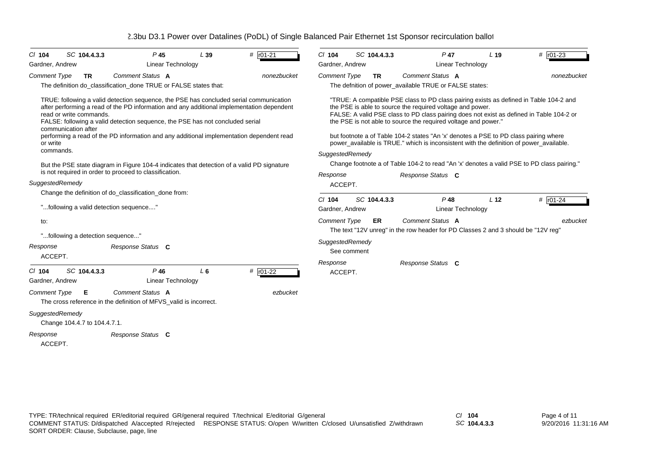| SC 104.4.3.3<br>$CI$ 104                                                                                                                                                                                                                                                                                                                                                                                                                                                                                                                                                                                               | P <sub>45</sub>                    | L39   | # r01-21    | $Cl$ 104                                              | SC 104.4.3.3 | $P$ 47                                                                                                                                                                                                                                                                                                                                                                                                                                                                                                                                                                                                                  | L <sub>19</sub>                      | # $r01-23$ |             |
|------------------------------------------------------------------------------------------------------------------------------------------------------------------------------------------------------------------------------------------------------------------------------------------------------------------------------------------------------------------------------------------------------------------------------------------------------------------------------------------------------------------------------------------------------------------------------------------------------------------------|------------------------------------|-------|-------------|-------------------------------------------------------|--------------|-------------------------------------------------------------------------------------------------------------------------------------------------------------------------------------------------------------------------------------------------------------------------------------------------------------------------------------------------------------------------------------------------------------------------------------------------------------------------------------------------------------------------------------------------------------------------------------------------------------------------|--------------------------------------|------------|-------------|
| Gardner, Andrew                                                                                                                                                                                                                                                                                                                                                                                                                                                                                                                                                                                                        | Linear Technology                  |       |             | Gardner, Andrew                                       |              |                                                                                                                                                                                                                                                                                                                                                                                                                                                                                                                                                                                                                         | Linear Technology                    |            |             |
| <b>Comment Type</b><br><b>TR</b>                                                                                                                                                                                                                                                                                                                                                                                                                                                                                                                                                                                       | Comment Status A                   |       | nonezbucket | <b>Comment Type</b>                                   | <b>TR</b>    | Comment Status A                                                                                                                                                                                                                                                                                                                                                                                                                                                                                                                                                                                                        |                                      |            | nonezbucket |
| The definition do classification done TRUE or FALSE states that:                                                                                                                                                                                                                                                                                                                                                                                                                                                                                                                                                       |                                    |       |             |                                                       |              | The defnition of power available TRUE or FALSE states:                                                                                                                                                                                                                                                                                                                                                                                                                                                                                                                                                                  |                                      |            |             |
| TRUE: following a valid detection sequence, the PSE has concluded serial communication<br>after performing a read of the PD information and any additional implementation dependent<br>read or write commands.<br>FALSE: following a valid detection sequence, the PSE has not concluded serial<br>communication after<br>performing a read of the PD information and any additional implementation dependent read<br>or write<br>commands.<br>But the PSE state diagram in Figure 104-4 indicates that detection of a valid PD signature<br>is not required in order to proceed to classification.<br>SuggestedRemedy |                                    |       |             | SuggestedRemedy<br>Response<br>ACCEPT.                |              | "TRUE: A compatible PSE class to PD class pairing exists as defined in Table 104-2 and<br>the PSE is able to source the required voltage and power.<br>FALSE: A valid PSE class to PD class pairing does not exist as defined in Table 104-2 or<br>the PSE is not able to source the required voltage and power."<br>but footnote a of Table 104-2 states "An 'x' denotes a PSE to PD class pairing where<br>power_available is TRUE." which is inconsistent with the definition of power_available.<br>Change footnote a of Table 104-2 to read "An 'x' denotes a valid PSE to PD class pairing."<br>Response Status C |                                      |            |             |
| Change the definition of do_classification_done from:                                                                                                                                                                                                                                                                                                                                                                                                                                                                                                                                                                  |                                    |       |             |                                                       |              |                                                                                                                                                                                                                                                                                                                                                                                                                                                                                                                                                                                                                         |                                      |            |             |
| "following a valid detection sequence"                                                                                                                                                                                                                                                                                                                                                                                                                                                                                                                                                                                 |                                    |       |             | $Cl$ 104<br>Gardner, Andrew                           | SC 104.4.3.3 | $P$ 48                                                                                                                                                                                                                                                                                                                                                                                                                                                                                                                                                                                                                  | L <sub>12</sub><br>Linear Technology | # $r01-24$ |             |
| to:<br>"following a detection sequence"<br>Response                                                                                                                                                                                                                                                                                                                                                                                                                                                                                                                                                                    | Response Status C                  |       |             | <b>Comment Type</b><br>SuggestedRemedy<br>See comment | ER.          | Comment Status A<br>The text "12V unreg" in the row header for PD Classes 2 and 3 should be "12V reg"                                                                                                                                                                                                                                                                                                                                                                                                                                                                                                                   |                                      |            | ezbucket    |
| ACCEPT.<br>SC 104.4.3.3<br>$Cl$ 104<br>Gardner, Andrew                                                                                                                                                                                                                                                                                                                                                                                                                                                                                                                                                                 | $P$ 46<br><b>Linear Technology</b> | $L_6$ | # $r01-22$  | Response<br>ACCEPT.                                   |              | Response Status C                                                                                                                                                                                                                                                                                                                                                                                                                                                                                                                                                                                                       |                                      |            |             |
| <b>Comment Type</b><br>Е<br>The cross reference in the definition of MFVS_valid is incorrect.                                                                                                                                                                                                                                                                                                                                                                                                                                                                                                                          | Comment Status A                   |       | ezbucket    |                                                       |              |                                                                                                                                                                                                                                                                                                                                                                                                                                                                                                                                                                                                                         |                                      |            |             |
| SuggestedRemedy<br>Change 104.4.7 to 104.4.7.1.                                                                                                                                                                                                                                                                                                                                                                                                                                                                                                                                                                        |                                    |       |             |                                                       |              |                                                                                                                                                                                                                                                                                                                                                                                                                                                                                                                                                                                                                         |                                      |            |             |
| Response<br>ACCEPT.                                                                                                                                                                                                                                                                                                                                                                                                                                                                                                                                                                                                    | Response Status C                  |       |             |                                                       |              |                                                                                                                                                                                                                                                                                                                                                                                                                                                                                                                                                                                                                         |                                      |            |             |

*SC* **104.4.3.3**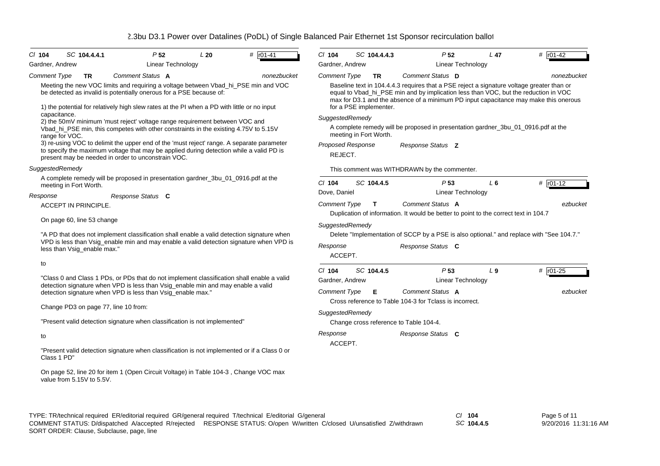| CI 104<br>Gardner, Andrew | SC 104.4.4.1                                                                                                           | P <sub>52</sub><br>Linear Technology                                                                                                                                                                                                       | L20                 | # r01-41                                                                                                | $CI$ 104<br>Gardner, Andrew         | SC 104.4.4.3           | P <sub>52</sub>                                                                                                                                                                  | Linear Technology | $L$ 47  | # $r01-42$                                                                               |
|---------------------------|------------------------------------------------------------------------------------------------------------------------|--------------------------------------------------------------------------------------------------------------------------------------------------------------------------------------------------------------------------------------------|---------------------|---------------------------------------------------------------------------------------------------------|-------------------------------------|------------------------|----------------------------------------------------------------------------------------------------------------------------------------------------------------------------------|-------------------|---------|------------------------------------------------------------------------------------------|
| <b>Comment Type</b>       | TR                                                                                                                     | Comment Status A                                                                                                                                                                                                                           |                     | nonezbucket                                                                                             | <b>Comment Type</b>                 | <b>TR</b>              | Comment Status D                                                                                                                                                                 |                   |         | nonezbucket                                                                              |
|                           |                                                                                                                        | be detected as invalid is potentially onerous for a PSE because of:<br>1) the potential for relatively high slew rates at the PI when a PD with little or no input                                                                         |                     | Meeting the new VOC limits and requiring a voltage between Vbad_hi_PSE min and VOC                      |                                     | for a PSE implementer. | Baseline text in 104.4.4.3 requires that a PSE reject a signature voltage greater than or<br>equal to Vbad_hi_PSE min and by implication less than VOC, but the reduction in VOC |                   |         | max for D3.1 and the absence of a minimum PD input capacitance may make this onerous     |
| capacitance.              |                                                                                                                        | 2) the 50mV minimum 'must reject' voltage range requirement between VOC and<br>Vbad_hi_PSE min, this competes with other constraints in the existing 4.75V to 5.15V                                                                        |                     |                                                                                                         | SuggestedRemedy                     | meeting in Fort Worth. | A complete remedy will be proposed in presentation gardner_3bu_01_0916.pdf at the                                                                                                |                   |         |                                                                                          |
| range for VOC.            |                                                                                                                        | 3) re-using VOC to delimit the upper end of the 'must reject' range. A separate parameter<br>to specify the maximum voltage that may be applied during detection while a valid PD is<br>present may be needed in order to unconstrain VOC. |                     |                                                                                                         | <b>Proposed Response</b><br>REJECT. |                        | Response Status Z                                                                                                                                                                |                   |         |                                                                                          |
| SuggestedRemedy           |                                                                                                                        |                                                                                                                                                                                                                                            |                     |                                                                                                         |                                     |                        | This comment was WITHDRAWN by the commenter.                                                                                                                                     |                   |         |                                                                                          |
| meeting in Fort Worth.    |                                                                                                                        | A complete remedy will be proposed in presentation gardner_3bu_01_0916.pdf at the                                                                                                                                                          |                     |                                                                                                         | $CI$ 104<br>Dove, Daniel            | SC 104.4.5             | P <sub>53</sub>                                                                                                                                                                  | Linear Technology | $L_6$   | # $r01-12$                                                                               |
| Response                  |                                                                                                                        | Response Status C                                                                                                                                                                                                                          |                     |                                                                                                         | Comment Type                        | T                      | Comment Status A                                                                                                                                                                 |                   |         | ezbucket                                                                                 |
|                           | ACCEPT IN PRINCIPLE.                                                                                                   |                                                                                                                                                                                                                                            |                     |                                                                                                         |                                     |                        | Duplication of information. It would be better to point to the correct text in 104.7                                                                                             |                   |         |                                                                                          |
|                           | On page 60, line 53 change                                                                                             |                                                                                                                                                                                                                                            | SuggestedRemedy     |                                                                                                         |                                     |                        |                                                                                                                                                                                  |                   |         |                                                                                          |
|                           | "A PD that does not implement classification shall enable a valid detection signature when                             |                                                                                                                                                                                                                                            |                     |                                                                                                         |                                     |                        |                                                                                                                                                                                  |                   |         | Delete "Implementation of SCCP by a PSE is also optional." and replace with "See 104.7." |
|                           | VPD is less than Vsig_enable min and may enable a valid detection signature when VPD is<br>less than Vsig_enable max." |                                                                                                                                                                                                                                            | Response<br>ACCEPT. |                                                                                                         | Response Status C                   |                        |                                                                                                                                                                                  |                   |         |                                                                                          |
| to                        |                                                                                                                        |                                                                                                                                                                                                                                            |                     |                                                                                                         | $CI$ 104                            | SC 104.4.5             | P <sub>53</sub>                                                                                                                                                                  |                   | $L_{9}$ | # $r01-25$                                                                               |
|                           |                                                                                                                        |                                                                                                                                                                                                                                            |                     | "Class 0 and Class 1 PDs, or PDs that do not implement classification shall enable a valid              | Gardner, Andrew                     |                        |                                                                                                                                                                                  | Linear Technology |         |                                                                                          |
|                           |                                                                                                                        | detection signature when VPD is less than Vsig_enable min and may enable a valid<br>detection signature when VPD is less than Vsig_enable max."                                                                                            |                     |                                                                                                         | <b>Comment Type</b>                 | Е                      | Comment Status A<br>Cross reference to Table 104-3 for Tclass is incorrect.                                                                                                      |                   |         | ezbucket                                                                                 |
|                           | Change PD3 on page 77, line 10 from:                                                                                   |                                                                                                                                                                                                                                            |                     |                                                                                                         | SuggestedRemedy                     |                        |                                                                                                                                                                                  |                   |         |                                                                                          |
|                           |                                                                                                                        | "Present valid detection signature when classification is not implemented"                                                                                                                                                                 |                     |                                                                                                         |                                     |                        | Change cross reference to Table 104-4.                                                                                                                                           |                   |         |                                                                                          |
| to                        |                                                                                                                        |                                                                                                                                                                                                                                            |                     |                                                                                                         | Response<br>ACCEPT.                 |                        | Response Status C                                                                                                                                                                |                   |         |                                                                                          |
| Class 1 PD"               |                                                                                                                        |                                                                                                                                                                                                                                            |                     | "Present valid detection signature when classification is not implemented or if a Class 0 or            |                                     |                        |                                                                                                                                                                                  |                   |         |                                                                                          |
|                           | value from 5.15V to 5.5V.                                                                                              | On page 52, line 20 for item 1 (Open Circuit Voltage) in Table 104-3, Change VOC max                                                                                                                                                       |                     |                                                                                                         |                                     |                        |                                                                                                                                                                                  |                   |         |                                                                                          |
|                           |                                                                                                                        |                                                                                                                                                                                                                                            |                     | TYPE: TR/technical required ER/editorial required GR/general required T/technical E/editorial G/general |                                     |                        |                                                                                                                                                                                  | $Cl$ 104          |         | Page 5 of 11                                                                             |

SORT ORDER: Clause, Subclause, page, line COMMENT STATUS: D/dispatched A/accepted R/rejected RESPONSE STATUS: O/open W/written C/closed U/unsatisfied Z/withdrawn *SC* **104.4.5**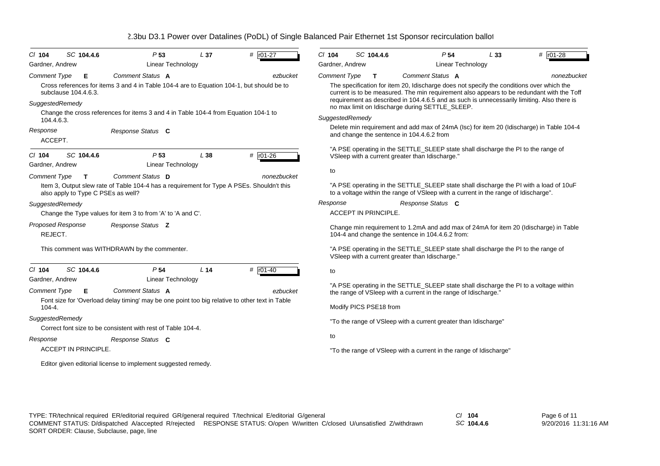| SC 104.4.6<br>$CI$ 104                           | P <sub>53</sub>                                                                                               | L 37            | # r01-27     | $CI$ 104                                                                                                                                                                     | SC 104.4.6                  | P <sub>54</sub>                                                                                                                                                                                                                                                                                         | L33 | # r01-28    |  |
|--------------------------------------------------|---------------------------------------------------------------------------------------------------------------|-----------------|--------------|------------------------------------------------------------------------------------------------------------------------------------------------------------------------------|-----------------------------|---------------------------------------------------------------------------------------------------------------------------------------------------------------------------------------------------------------------------------------------------------------------------------------------------------|-----|-------------|--|
| Gardner, Andrew                                  | <b>Linear Technology</b>                                                                                      |                 |              | Gardner, Andrew                                                                                                                                                              |                             | Linear Technology                                                                                                                                                                                                                                                                                       |     |             |  |
| <b>Comment Type</b><br>Е<br>subclause 104.4.6.3. | Comment Status A<br>Cross references for items 3 and 4 in Table 104-4 are to Equation 104-1, but should be to |                 | ezbucket     | <b>Comment Type</b>                                                                                                                                                          | $\mathbf{T}$                | Comment Status A<br>The specification for item 20, Idischarge does not specify the conditions over which the<br>current is to be measured. The min requirement also appears to be redundant with the Toff<br>requirement as described in 104.4.6.5 and as such is unnecessarily limiting. Also there is |     | nonezbucket |  |
| SuggestedRemedy                                  |                                                                                                               |                 |              |                                                                                                                                                                              |                             | no max limit on Idischarge during SETTLE_SLEEP.                                                                                                                                                                                                                                                         |     |             |  |
| 104.4.6.3.                                       | Change the cross references for items 3 and 4 in Table 104-4 from Equation 104-1 to                           |                 |              | SuggestedRemedy                                                                                                                                                              |                             |                                                                                                                                                                                                                                                                                                         |     |             |  |
| Response<br>ACCEPT.                              | Response Status C                                                                                             |                 |              | Delete min requirement and add max of 24mA (Isc) for item 20 (Idischarge) in Table 104-4<br>and change the sentence in 104.4.6.2 from                                        |                             |                                                                                                                                                                                                                                                                                                         |     |             |  |
| SC 104.4.6<br>$CI$ 104<br>Gardner, Andrew        | P <sub>53</sub><br>Linear Technology                                                                          | L38             | # r01-26     |                                                                                                                                                                              |                             | "A PSE operating in the SETTLE_SLEEP state shall discharge the PI to the range of<br>VSleep with a current greater than Idischarge."                                                                                                                                                                    |     |             |  |
| <b>Comment Type</b><br>$\mathbf{T}$              | Comment Status D                                                                                              |                 | nonezbucket  | to                                                                                                                                                                           |                             |                                                                                                                                                                                                                                                                                                         |     |             |  |
| also apply to Type C PSEs as well?               | Item 3, Output slew rate of Table 104-4 has a requirement for Type A PSEs. Shouldn't this                     |                 |              | "A PSE operating in the SETTLE_SLEEP state shall discharge the PI with a load of 10uF<br>to a voltage within the range of VSIeep with a current in the range of Idischarge". |                             |                                                                                                                                                                                                                                                                                                         |     |             |  |
| SuggestedRemedy                                  |                                                                                                               |                 |              | Response                                                                                                                                                                     |                             | Response Status C                                                                                                                                                                                                                                                                                       |     |             |  |
|                                                  | Change the Type values for item 3 to from 'A' to 'A and C'.                                                   |                 |              |                                                                                                                                                                              | <b>ACCEPT IN PRINCIPLE.</b> |                                                                                                                                                                                                                                                                                                         |     |             |  |
| <b>Proposed Response</b><br>REJECT.              | Response Status Z                                                                                             |                 |              | Change min requirement to 1.2mA and add max of 24mA for item 20 (Idischarge) in Table<br>104-4 and change the sentence in 104.4.6.2 from:                                    |                             |                                                                                                                                                                                                                                                                                                         |     |             |  |
|                                                  | This comment was WITHDRAWN by the commenter.                                                                  |                 |              |                                                                                                                                                                              |                             | "A PSE operating in the SETTLE_SLEEP state shall discharge the PI to the range of<br>VSleep with a current greater than Idischarge."                                                                                                                                                                    |     |             |  |
| SC 104.4.6<br>$CI$ 104                           | P <sub>54</sub>                                                                                               | L <sub>14</sub> | $#$ $r01-40$ | to                                                                                                                                                                           |                             |                                                                                                                                                                                                                                                                                                         |     |             |  |
| Gardner, Andrew<br><b>Comment Type</b><br>Е      | Linear Technology<br>Comment Status A                                                                         |                 | ezbucket     |                                                                                                                                                                              |                             | "A PSE operating in the SETTLE_SLEEP state shall discharge the PI to a voltage within<br>the range of VSIeep with a current in the range of Idischarge."                                                                                                                                                |     |             |  |
| 104-4.                                           | Font size for 'Overload delay timing' may be one point too big relative to other text in Table                |                 |              |                                                                                                                                                                              | Modify PICS PSE18 from      |                                                                                                                                                                                                                                                                                                         |     |             |  |
| SuggestedRemedy                                  | Correct font size to be consistent with rest of Table 104-4.                                                  |                 |              |                                                                                                                                                                              |                             | "To the range of VSIeep with a current greater than Idischarge"                                                                                                                                                                                                                                         |     |             |  |
| Response                                         | Response Status C                                                                                             |                 |              | to                                                                                                                                                                           |                             |                                                                                                                                                                                                                                                                                                         |     |             |  |
| ACCEPT IN PRINCIPLE.                             |                                                                                                               |                 |              | "To the range of VSIeep with a current in the range of Idischarge"                                                                                                           |                             |                                                                                                                                                                                                                                                                                                         |     |             |  |
|                                                  | Editor given editorial license to implement suggested remedy.                                                 |                 |              |                                                                                                                                                                              |                             |                                                                                                                                                                                                                                                                                                         |     |             |  |

*SC* **104.4.6**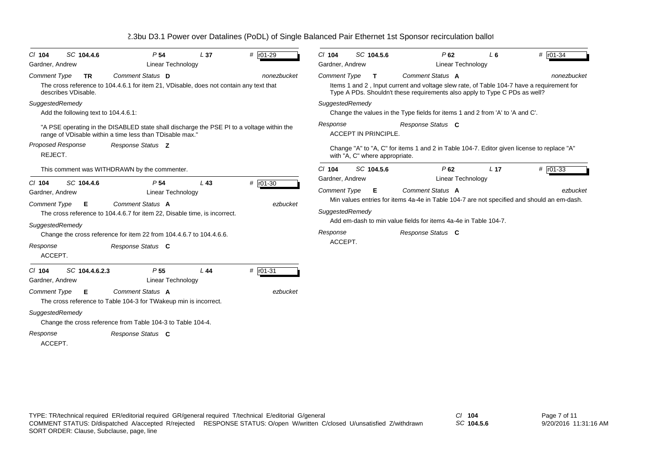| SC 104.4.6<br>$CI$ 104<br>Gardner, Andrew                                                            | P <sub>54</sub><br>Linear Technology                                                                                                                                                                                              | L <sub>37</sub> | # r01-29               | $Cl$ 104<br>Gardner, Andrew                                   | SC 104.5.6                     | P62<br>Linear Technology                                                                                                                                                                               | $L_6$           | # r01-34    |
|------------------------------------------------------------------------------------------------------|-----------------------------------------------------------------------------------------------------------------------------------------------------------------------------------------------------------------------------------|-----------------|------------------------|---------------------------------------------------------------|--------------------------------|--------------------------------------------------------------------------------------------------------------------------------------------------------------------------------------------------------|-----------------|-------------|
| <b>Comment Type</b><br><b>TR</b>                                                                     | Comment Status D                                                                                                                                                                                                                  |                 | nonezbucket            | <b>Comment Type</b>                                           | $\mathbf{T}$                   | Comment Status A                                                                                                                                                                                       |                 | nonezbucket |
| describes VDisable.                                                                                  | The cross reference to 104.4.6.1 for item 21, VDisable, does not contain any text that                                                                                                                                            |                 |                        |                                                               |                                | Items 1 and 2, Input current and voltage slew rate, of Table 104-7 have a requirement for<br>Type A PDs. Shouldn't these requirements also apply to Type C PDs as well?                                |                 |             |
| SuggestedRemedy<br>Add the following text to 104.4.6.1:                                              |                                                                                                                                                                                                                                   |                 |                        | SuggestedRemedy                                               |                                | Change the values in the Type fields for items 1 and 2 from 'A' to 'A and C'.                                                                                                                          |                 |             |
|                                                                                                      | "A PSE operating in the DISABLED state shall discharge the PSE PI to a voltage within the<br>range of VDisable within a time less than TDisable max."                                                                             |                 |                        | Response                                                      | <b>ACCEPT IN PRINCIPLE.</b>    | Response Status C                                                                                                                                                                                      |                 |             |
| <b>Proposed Response</b><br>REJECT.                                                                  | Response Status Z                                                                                                                                                                                                                 |                 |                        |                                                               | with "A, C" where appropriate. | Change "A" to "A, C" for items 1 and 2 in Table 104-7. Editor given license to replace "A"                                                                                                             |                 |             |
|                                                                                                      | This comment was WITHDRAWN by the commenter.                                                                                                                                                                                      |                 |                        | $Cl$ 104<br>Gardner, Andrew                                   | SC 104.5.6                     | P62<br>Linear Technology                                                                                                                                                                               | L <sub>17</sub> | # $r01-33$  |
| SC 104.4.6<br>$CI$ 104<br>Gardner, Andrew<br><b>Comment Type</b><br>Е<br>SuggestedRemedy<br>Response | P <sub>54</sub><br>Linear Technology<br>Comment Status A<br>The cross reference to 104.4.6.7 for item 22, Disable time, is incorrect.<br>Change the cross reference for item 22 from 104.4.6.7 to 104.4.6.6.<br>Response Status C | $L$ 43          | $# 101-30$<br>ezbucket | <b>Comment Type</b><br>SuggestedRemedy<br>Response<br>ACCEPT. | Е                              | Comment Status A<br>Min values entries for items 4a-4e in Table 104-7 are not specified and should an em-dash.<br>Add em-dash to min value fields for items 4a-4e in Table 104-7.<br>Response Status C |                 | ezbucket    |
| ACCEPT.<br>SC 104.4.6.2.3<br>$CI$ 104<br>Gardner, Andrew<br><b>Comment Type</b><br>Е                 | P <sub>55</sub><br><b>Linear Technology</b><br>Comment Status A                                                                                                                                                                   | L44             | # r01-31<br>ezbucket   |                                                               |                                |                                                                                                                                                                                                        |                 |             |
| SuggestedRemedy<br>Response                                                                          | The cross reference to Table 104-3 for TWakeup min is incorrect.<br>Change the cross reference from Table 104-3 to Table 104-4.<br>Response Status C                                                                              |                 |                        |                                                               |                                |                                                                                                                                                                                                        |                 |             |
| ACCEPT.                                                                                              |                                                                                                                                                                                                                                   |                 |                        |                                                               |                                |                                                                                                                                                                                                        |                 |             |

*SC* **104.5.6**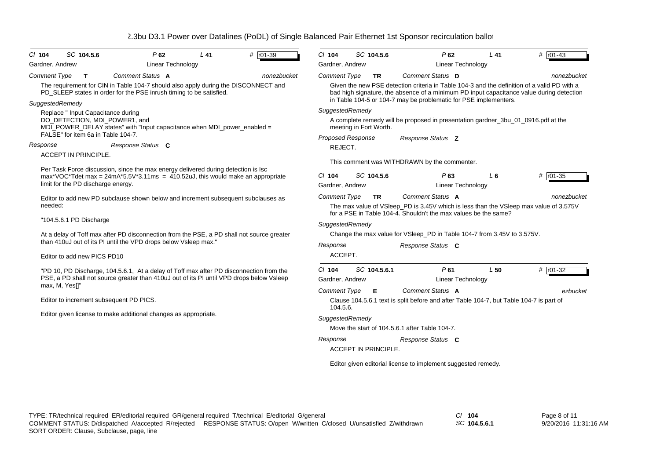| SC 104.5.6<br>$CI$ 104                                              | P62                                                                                                                                                       | $L$ 41 | # $r01-39$  | $Cl$ 104                                                                                                    | SC 104.5.6                  | $P$ 62                                                                                                                                                                                  | $L$ 41          | # r01-43     |  |
|---------------------------------------------------------------------|-----------------------------------------------------------------------------------------------------------------------------------------------------------|--------|-------------|-------------------------------------------------------------------------------------------------------------|-----------------------------|-----------------------------------------------------------------------------------------------------------------------------------------------------------------------------------------|-----------------|--------------|--|
| Gardner, Andrew                                                     | <b>Linear Technology</b>                                                                                                                                  |        |             | Gardner, Andrew                                                                                             |                             | <b>Linear Technology</b>                                                                                                                                                                |                 |              |  |
| <b>Comment Type</b><br>$\mathbf{T}$                                 | Comment Status A                                                                                                                                          |        | nonezbucket | <b>Comment Type</b>                                                                                         | <b>TR</b>                   | Comment Status D                                                                                                                                                                        |                 | nonezbucket  |  |
|                                                                     | The requirement for CIN in Table 104-7 should also apply during the DISCONNECT and<br>PD SLEEP states in order for the PSE inrush timing to be satisfied. |        |             |                                                                                                             |                             | Given the new PSE detection criteria in Table 104-3 and the definition of a valid PD with a<br>bad high signature, the absence of a minimum PD input capacitance value during detection |                 |              |  |
| SuggestedRemedy                                                     |                                                                                                                                                           |        |             |                                                                                                             |                             | in Table 104-5 or 104-7 may be problematic for PSE implementers.                                                                                                                        |                 |              |  |
| Replace " Input Capacitance during                                  |                                                                                                                                                           |        |             | SuggestedRemedy                                                                                             |                             |                                                                                                                                                                                         |                 |              |  |
| DO_DETECTION, MDI_POWER1, and<br>FALSE" for item 6a in Table 104-7. | MDI_POWER_DELAY states" with "Input capacitance when MDI_power_enabled =                                                                                  |        |             | A complete remedy will be proposed in presentation gardner_3bu_01_0916.pdf at the<br>meeting in Fort Worth. |                             |                                                                                                                                                                                         |                 |              |  |
|                                                                     |                                                                                                                                                           |        |             |                                                                                                             | <b>Proposed Response</b>    | Response Status Z                                                                                                                                                                       |                 |              |  |
| Response                                                            | Response Status C                                                                                                                                         |        |             | REJECT.                                                                                                     |                             |                                                                                                                                                                                         |                 |              |  |
| <b>ACCEPT IN PRINCIPLE.</b>                                         | Per Task Force discussion, since the max energy delivered during detection is lsc                                                                         |        |             |                                                                                                             |                             | This comment was WITHDRAWN by the commenter.                                                                                                                                            |                 |              |  |
|                                                                     | max*VOC*Tdet max = $24mA*5.5V*3.11ms$ = $410.52uJ$ , this would make an appropriate                                                                       |        |             | $Cl$ 104                                                                                                    | SC 104.5.6                  | P63                                                                                                                                                                                     | $L_6$           | $#$ $r01-35$ |  |
| limit for the PD discharge energy.                                  |                                                                                                                                                           |        |             | Gardner, Andrew                                                                                             |                             | <b>Linear Technology</b>                                                                                                                                                                |                 |              |  |
|                                                                     | Editor to add new PD subclause shown below and increment subsequent subclauses as                                                                         |        |             | <b>Comment Type</b>                                                                                         | <b>TR</b>                   | Comment Status A                                                                                                                                                                        |                 | nonezbucket  |  |
| needed:                                                             |                                                                                                                                                           |        |             |                                                                                                             |                             | The max value of VSleep_PD is 3.45V which is less than the VSleep max value of 3.575V<br>for a PSE in Table 104-4. Shouldn't the max values be the same?                                |                 |              |  |
| "104.5.6.1 PD Discharge                                             |                                                                                                                                                           |        |             | SuggestedRemedy                                                                                             |                             |                                                                                                                                                                                         |                 |              |  |
|                                                                     | At a delay of Toff max after PD disconnection from the PSE, a PD shall not source greater                                                                 |        |             | Change the max value for VSIeep PD in Table 104-7 from 3.45V to 3.575V.<br>Response<br>Response Status C    |                             |                                                                                                                                                                                         |                 |              |  |
|                                                                     | than 410uJ out of its PI until the VPD drops below Vsleep max."                                                                                           |        |             |                                                                                                             |                             |                                                                                                                                                                                         |                 |              |  |
| Editor to add new PICS PD10                                         |                                                                                                                                                           |        |             | ACCEPT.                                                                                                     |                             |                                                                                                                                                                                         |                 |              |  |
|                                                                     |                                                                                                                                                           |        |             |                                                                                                             |                             |                                                                                                                                                                                         |                 |              |  |
|                                                                     | "PD 10, PD Discharge, 104.5.6.1, At a delay of Toff max after PD disconnection from the                                                                   |        |             | $Cl$ 104                                                                                                    | SC 104.5.6.1                | P61                                                                                                                                                                                     | L <sub>50</sub> | $# 101-32$   |  |
| max, M, Yes[]"                                                      | PSE, a PD shall not source greater than 410uJ out of its PI until VPD drops below Vsleep                                                                  |        |             | Gardner, Andrew                                                                                             |                             | <b>Linear Technology</b>                                                                                                                                                                |                 |              |  |
|                                                                     |                                                                                                                                                           |        |             | <b>Comment Type</b>                                                                                         | Е                           | Comment Status A                                                                                                                                                                        |                 | ezbucket     |  |
|                                                                     | Editor to increment subsequent PD PICS.                                                                                                                   |        |             | 104.5.6.                                                                                                    |                             | Clause 104.5.6.1 text is split before and after Table 104-7, but Table 104-7 is part of                                                                                                 |                 |              |  |
|                                                                     | Editor given license to make additional changes as appropriate.                                                                                           |        |             | SuggestedRemedy                                                                                             |                             |                                                                                                                                                                                         |                 |              |  |
|                                                                     |                                                                                                                                                           |        |             |                                                                                                             |                             | Move the start of 104.5.6.1 after Table 104-7.                                                                                                                                          |                 |              |  |
|                                                                     |                                                                                                                                                           |        |             | Response                                                                                                    |                             | Response Status C                                                                                                                                                                       |                 |              |  |
|                                                                     |                                                                                                                                                           |        |             |                                                                                                             | <b>ACCEPT IN PRINCIPLE.</b> |                                                                                                                                                                                         |                 |              |  |
|                                                                     |                                                                                                                                                           |        |             |                                                                                                             |                             | Editor given editorial license to implement suggested remedy.                                                                                                                           |                 |              |  |
|                                                                     |                                                                                                                                                           |        |             |                                                                                                             |                             |                                                                                                                                                                                         |                 |              |  |

*SC* **104.5.6.1**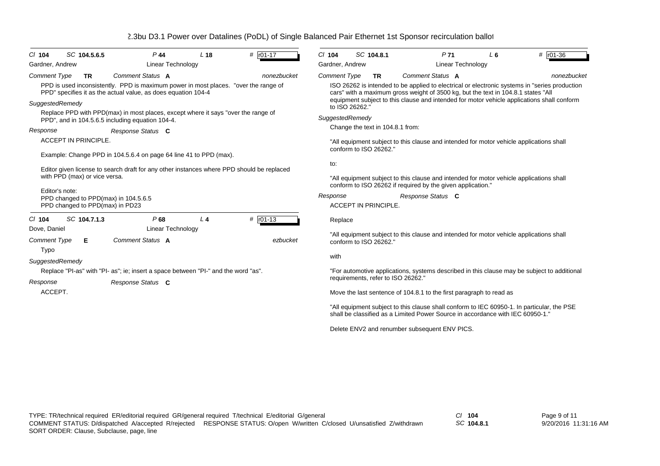| $Cl$ 104<br>Gardner, Andrew | SC 104.5.6.5                                                                                                                                                                                                                                                                                 | $P$ 44<br><b>Linear Technology</b>                                                                                                                                       | L <sub>18</sub> | # $r01-17$  | $CI$ 104<br>Gardner, Andrew                                                                                                     | SC 104.8.1                                                                                                                                                                                                                    | P <sub>71</sub><br><b>Linear Technology</b>                                                                                                                                                             | L <sub>6</sub> | # $r01-36$  |  |  |  |
|-----------------------------|----------------------------------------------------------------------------------------------------------------------------------------------------------------------------------------------------------------------------------------------------------------------------------------------|--------------------------------------------------------------------------------------------------------------------------------------------------------------------------|-----------------|-------------|---------------------------------------------------------------------------------------------------------------------------------|-------------------------------------------------------------------------------------------------------------------------------------------------------------------------------------------------------------------------------|---------------------------------------------------------------------------------------------------------------------------------------------------------------------------------------------------------|----------------|-------------|--|--|--|
| Comment Type                | <b>TR</b>                                                                                                                                                                                                                                                                                    | Comment Status A<br>PPD is used inconsistently. PPD is maximum power in most places. "over the range of<br>PPD" specifies it as the actual value, as does equation 104-4 |                 | nonezbucket | <b>Comment Type</b>                                                                                                             | <b>TR</b>                                                                                                                                                                                                                     | Comment Status A<br>ISO 26262 is intended to be applied to electrical or electronic systems in "series production"<br>cars" with a maximum gross weight of 3500 kg, but the text in 104.8.1 states "All |                | nonezbucket |  |  |  |
| SuggestedRemedy             |                                                                                                                                                                                                                                                                                              | Replace PPD with PPD(max) in most places, except where it says "over the range of<br>PPD", and in 104.5.6.5 including equation 104-4.                                    |                 |             | equipment subject to this clause and intended for motor vehicle applications shall conform<br>to ISO 26262."<br>SuggestedRemedy |                                                                                                                                                                                                                               |                                                                                                                                                                                                         |                |             |  |  |  |
| Response                    |                                                                                                                                                                                                                                                                                              | Response Status C                                                                                                                                                        |                 |             |                                                                                                                                 | Change the text in 104.8.1 from:                                                                                                                                                                                              |                                                                                                                                                                                                         |                |             |  |  |  |
|                             | <b>ACCEPT IN PRINCIPLE.</b>                                                                                                                                                                                                                                                                  |                                                                                                                                                                          |                 |             | "All equipment subject to this clause and intended for motor vehicle applications shall<br>conform to ISO 26262."               |                                                                                                                                                                                                                               |                                                                                                                                                                                                         |                |             |  |  |  |
|                             | Example: Change PPD in 104.5.6.4 on page 64 line 41 to PPD (max).<br>Editor given license to search draft for any other instances where PPD should be replaced<br>with PPD (max) or vice versa.<br>Editor's note:<br>PPD changed to PPD(max) in 104.5.6.5<br>PPD changed to PPD(max) in PD23 |                                                                                                                                                                          |                 |             |                                                                                                                                 | to:<br>"All equipment subject to this clause and intended for motor vehicle applications shall<br>conform to ISO 26262 if required by the given application."<br>Response<br>Response Status C<br><b>ACCEPT IN PRINCIPLE.</b> |                                                                                                                                                                                                         |                |             |  |  |  |
| $Cl$ 104<br>Dove, Daniel    | SC 104.7.1.3                                                                                                                                                                                                                                                                                 | P68<br><b>Linear Technology</b>                                                                                                                                          | L <sub>4</sub>  | # r01-13    | Replace                                                                                                                         |                                                                                                                                                                                                                               |                                                                                                                                                                                                         |                |             |  |  |  |
| Comment Type<br>Typo        | Е                                                                                                                                                                                                                                                                                            | Comment Status A                                                                                                                                                         |                 | ezbucket    |                                                                                                                                 | conform to ISO 26262."                                                                                                                                                                                                        | "All equipment subject to this clause and intended for motor vehicle applications shall                                                                                                                 |                |             |  |  |  |
| SuggestedRemedy             |                                                                                                                                                                                                                                                                                              |                                                                                                                                                                          |                 |             | with                                                                                                                            |                                                                                                                                                                                                                               |                                                                                                                                                                                                         |                |             |  |  |  |
| Response                    |                                                                                                                                                                                                                                                                                              | Replace "PI-as" with "PI- as"; ie; insert a space between "PI-" and the word "as".<br>Response Status C                                                                  |                 |             |                                                                                                                                 | requirements, refer to ISO 26262."                                                                                                                                                                                            | "For automotive applications, systems described in this clause may be subject to additional                                                                                                             |                |             |  |  |  |
| ACCEPT.                     |                                                                                                                                                                                                                                                                                              |                                                                                                                                                                          |                 |             |                                                                                                                                 |                                                                                                                                                                                                                               | Move the last sentence of 104.8.1 to the first paragraph to read as                                                                                                                                     |                |             |  |  |  |
|                             |                                                                                                                                                                                                                                                                                              |                                                                                                                                                                          |                 |             |                                                                                                                                 |                                                                                                                                                                                                                               | "All equipment subject to this clause shall conform to IEC 60950-1. In particular, the PSE<br>shall be classified as a Limited Power Source in accordance with IEC 60950-1."                            |                |             |  |  |  |
|                             |                                                                                                                                                                                                                                                                                              |                                                                                                                                                                          |                 |             |                                                                                                                                 |                                                                                                                                                                                                                               | Delete ENV2 and renumber subsequent ENV PICS.                                                                                                                                                           |                |             |  |  |  |

*SC* **104.8.1**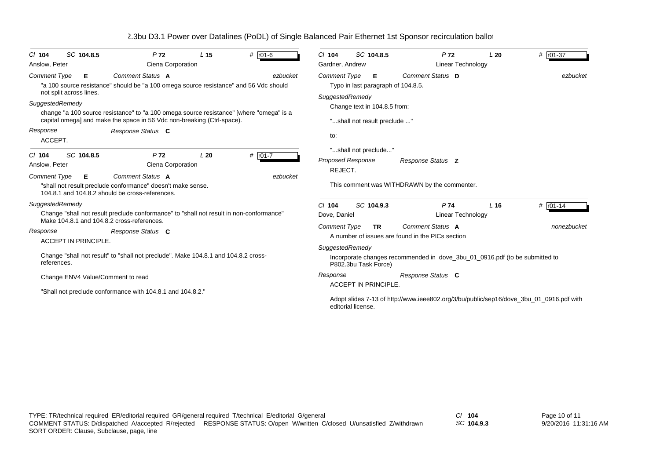| SC 104.8.5<br>$CI$ 104<br>Anslow, Peter                                                                                 | P <sub>72</sub><br>L <sub>15</sub><br>Ciena Corporation                                                                                                                                                                                                                                                                       | # $r01-6$           | SC 104.8.5<br>$Cl$ 104<br>Gardner, Andrew                                                                                                                                                                                                                         | P <sub>72</sub><br>Linear Technology                                                                                            | # r01-37<br>L20                                                                         |  |  |  |
|-------------------------------------------------------------------------------------------------------------------------|-------------------------------------------------------------------------------------------------------------------------------------------------------------------------------------------------------------------------------------------------------------------------------------------------------------------------------|---------------------|-------------------------------------------------------------------------------------------------------------------------------------------------------------------------------------------------------------------------------------------------------------------|---------------------------------------------------------------------------------------------------------------------------------|-----------------------------------------------------------------------------------------|--|--|--|
| <b>Comment Type</b><br>Е<br>not split across lines.<br>SuggestedRemedy<br>Response<br>ACCEPT.<br>SC 104.8.5<br>$Cl$ 104 | Comment Status A<br>"a 100 source resistance" should be "a 100 omega source resistance" and 56 Vdc should<br>change "a 100 source resistance" to "a 100 omega source resistance" [where "omega" is a<br>capital omega] and make the space in 56 Vdc non-breaking (Ctrl-space).<br>Response Status C<br>P <sub>72</sub><br>L20 | ezbucket<br># r01-7 | Comment Status D<br><b>Comment Type</b><br>Е<br>ezbucket<br>Typo in last paragraph of 104.8.5.<br>SuggestedRemedy<br>Change text in 104.8.5 from:<br>"shall not result preclude "<br>to:<br>"shall not preclude"<br><b>Proposed Response</b><br>Response Status Z |                                                                                                                                 |                                                                                         |  |  |  |
| Anslow, Peter<br><b>Comment Type</b><br>Е                                                                               | Ciena Corporation<br>Comment Status A                                                                                                                                                                                                                                                                                         | ezbucket            | REJECT.                                                                                                                                                                                                                                                           |                                                                                                                                 |                                                                                         |  |  |  |
|                                                                                                                         | "shall not result preclude conformance" doesn't make sense.<br>104.8.1 and 104.8.2 should be cross-references.                                                                                                                                                                                                                |                     |                                                                                                                                                                                                                                                                   | This comment was WITHDRAWN by the commenter.                                                                                    |                                                                                         |  |  |  |
| SuggestedRemedy<br>Make 104.8.1 and 104.8.2 cross-references.<br>Response                                               | Change "shall not result preclude conformance" to "shall not result in non-conformance"<br>Response Status C                                                                                                                                                                                                                  |                     | SC 104.9.3<br>$Cl$ 104<br>P74<br># $r01-14$<br>L <sub>16</sub><br>Dove, Daniel<br>Linear Technology<br>Comment Status A<br><b>Comment Type</b><br><b>TR</b><br>nonezbucket                                                                                        |                                                                                                                                 |                                                                                         |  |  |  |
| ACCEPT IN PRINCIPLE.<br>references.                                                                                     | Change "shall not result" to "shall not preclude". Make 104.8.1 and 104.8.2 cross-                                                                                                                                                                                                                                            |                     | SuggestedRemedy<br>P802.3bu Task Force)                                                                                                                                                                                                                           | A number of issues are found in the PICs section<br>Incorporate changes recommended in dove_3bu_01_0916.pdf (to be submitted to |                                                                                         |  |  |  |
| Change ENV4 Value/Comment to read                                                                                       | "Shall not preclude conformance with 104.8.1 and 104.8.2."                                                                                                                                                                                                                                                                    |                     | Response<br><b>ACCEPT IN PRINCIPLE</b><br>editorial license.                                                                                                                                                                                                      | Response Status C                                                                                                               | Adopt slides 7-13 of http://www.ieee802.org/3/bu/public/sep16/dove_3bu_01_0916.pdf with |  |  |  |

*SC* **104.9.3**